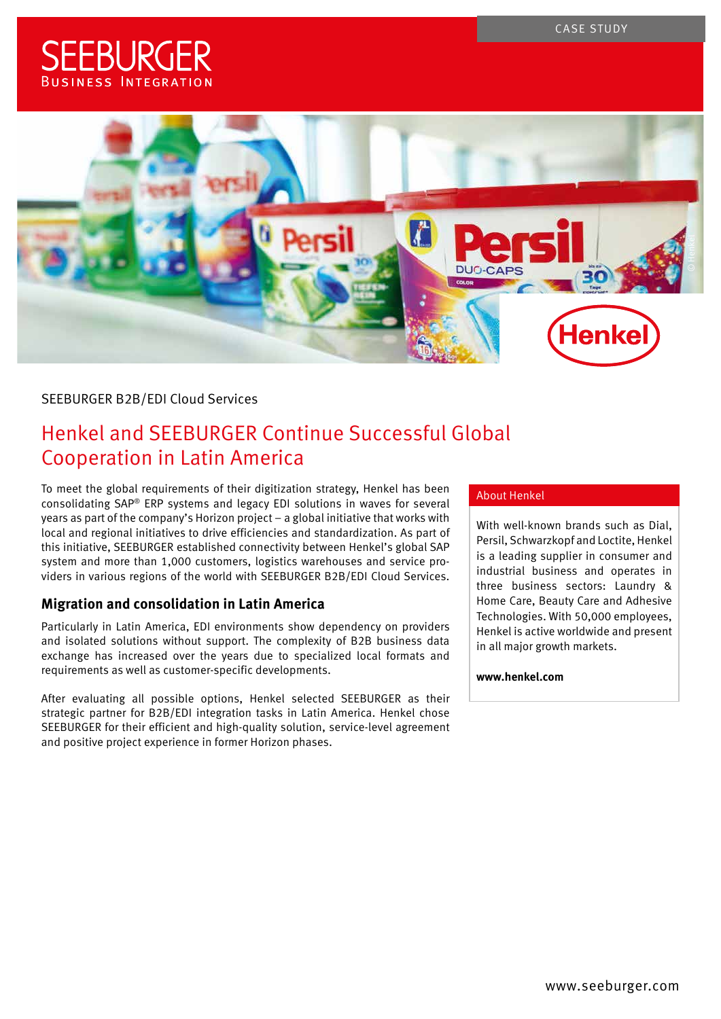CASE STUDY

# **SFFBI IRGFR BUSINESS INTEGRATION**



## SEEBURGER B2B/EDI Cloud Services

## Henkel and SEEBURGER Continue Successful Global Cooperation in Latin America

To meet the global requirements of their digitization strategy, Henkel has been consolidating SAP® ERP systems and legacy EDI solutions in waves for several years as part of the company's Horizon project – a global initiative that works with local and regional initiatives to drive efficiencies and standardization. As part of this initiative, SEEBURGER established connectivity between Henkel's global SAP system and more than 1,000 customers, logistics warehouses and service providers in various regions of the world with SEEBURGER B2B/EDI Cloud Services.

## **Migration and consolidation in Latin America**

Particularly in Latin America, EDI environments show dependency on providers and isolated solutions without support. The complexity of B2B business data exchange has increased over the years due to specialized local formats and requirements as well as customer-specific developments.

After evaluating all possible options, Henkel selected SEEBURGER as their strategic partner for B2B/EDI integration tasks in Latin America. Henkel chose SEEBURGER for their efficient and high-quality solution, service-level agreement and positive project experience in former Horizon phases.

#### About Henkel

[With well-known brands such as Dial,](http://)  Persil, Schwarzkopf and Loctite, Henkel is a leading supplier in consumer and industrial business and operates in three business sectors: Laundry & Home Care, Beauty Care and Adhesive Technologies. With 50,000 employees, Henkel is active worldwide and present in all major growth markets.

#### **[www.henkel.com](https://www.henkel.com/)**